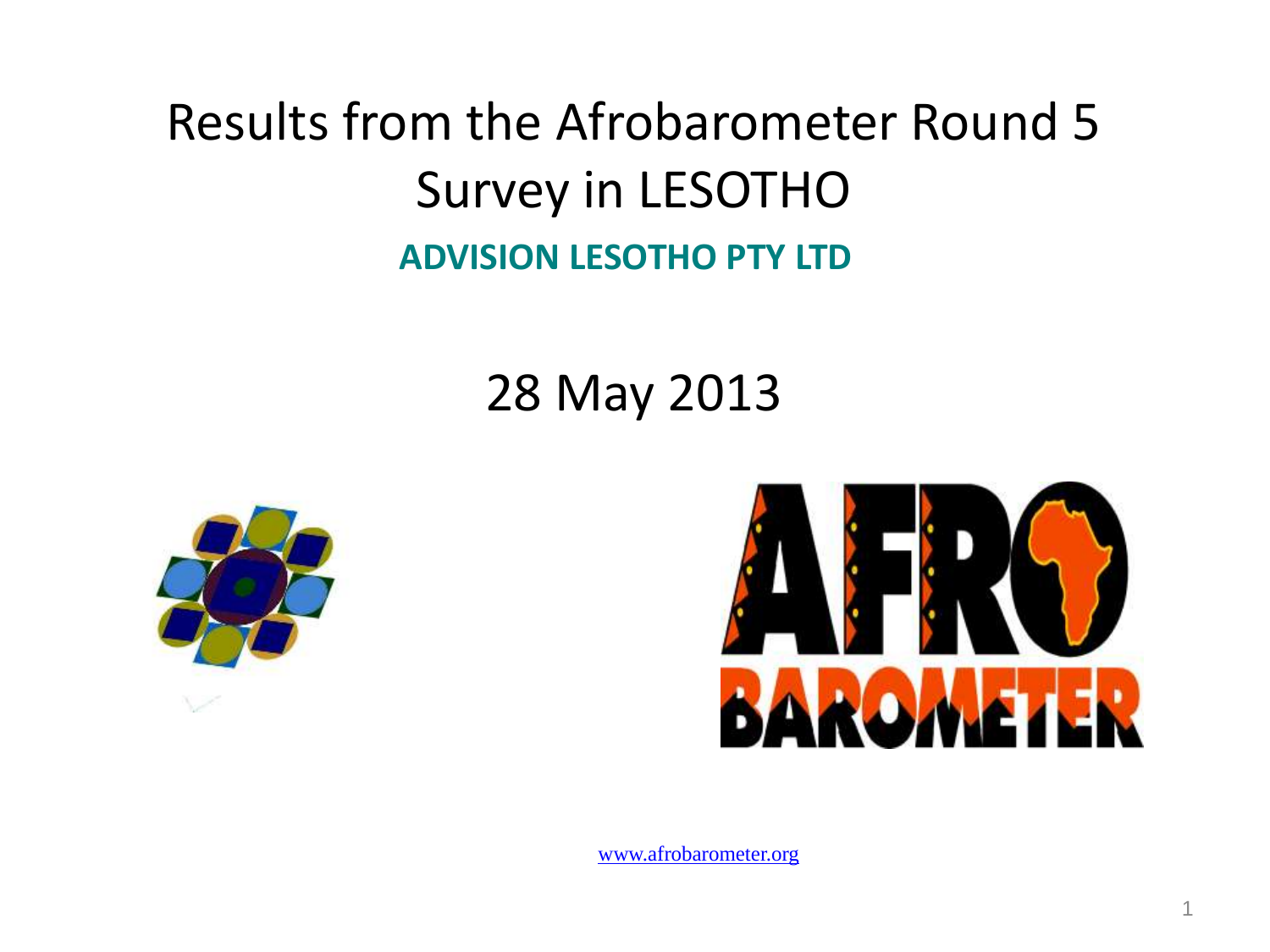#### Results from the Afrobarometer Round 5 Survey in LESOTHO **ADVISION LESOTHO PTY LTD**

#### 28 May 2013



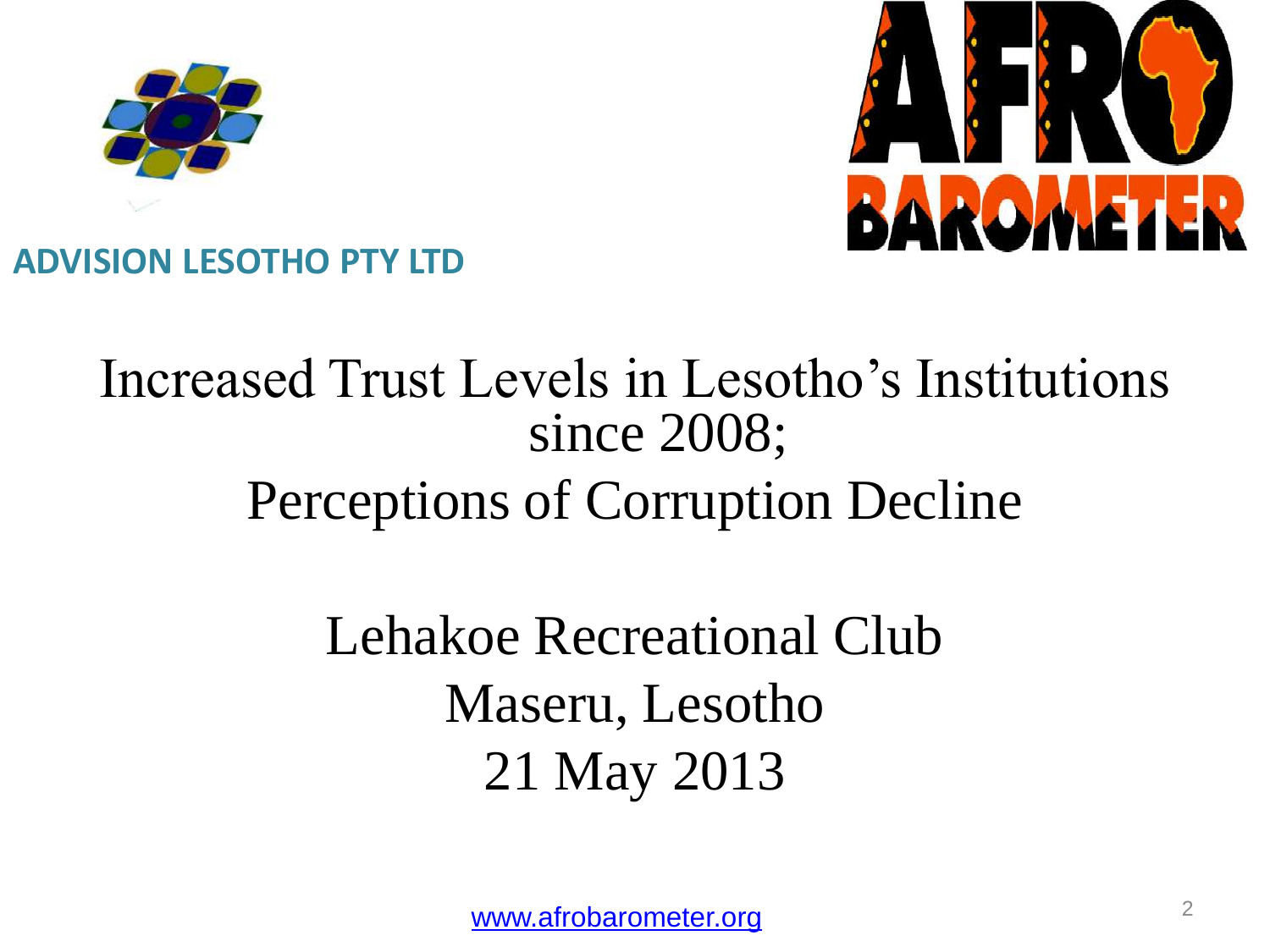



#### **ADVISION LESOTHO PTY LTD**

#### Increased Trust Levels in Lesotho's Institutions since 2008; Perceptions of Corruption Decline

### Lehakoe Recreational Club Maseru, Lesotho 21 May 2013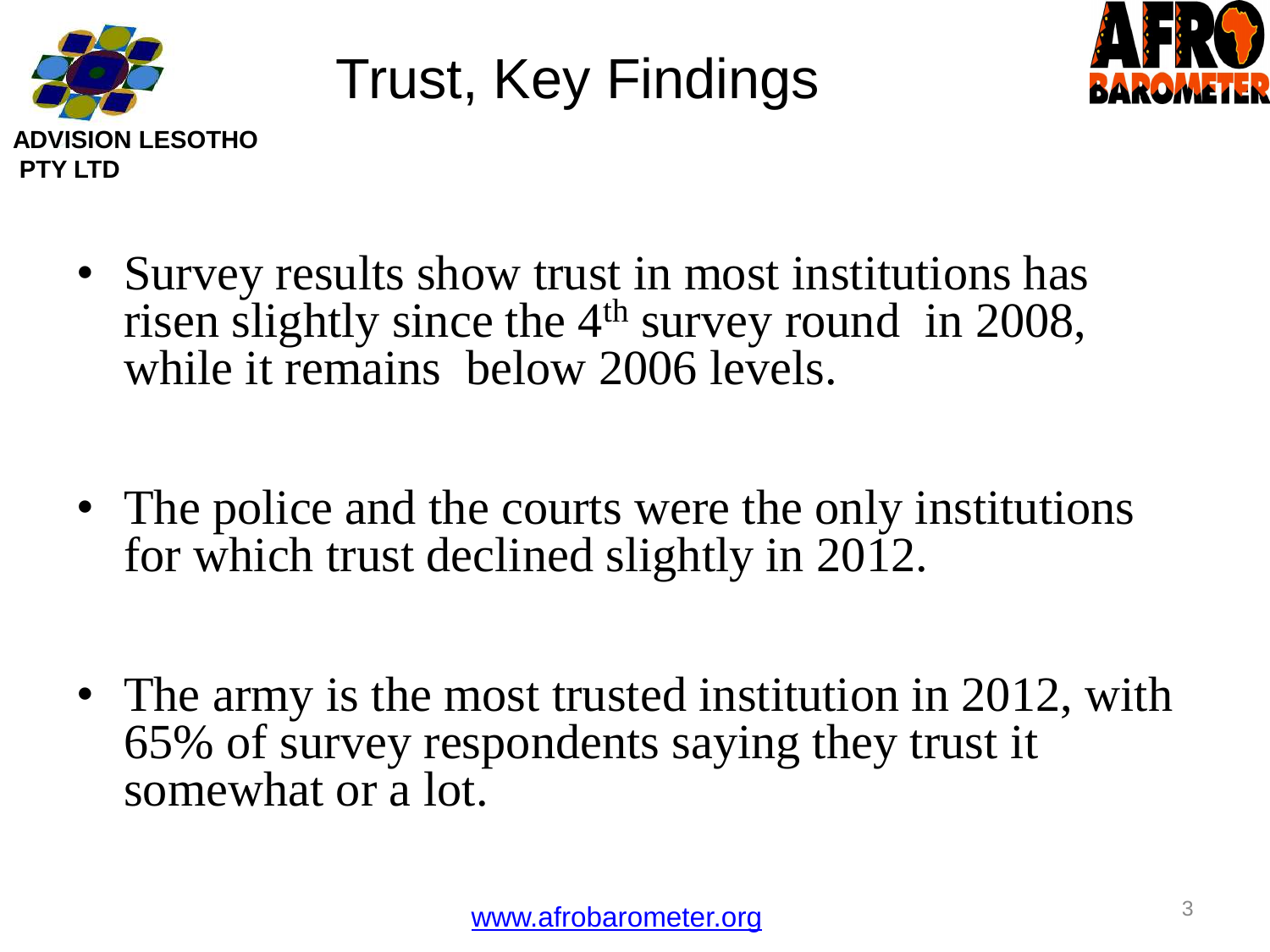

## Trust, Key Findings



- Survey results show trust in most institutions has risen slightly since the 4<sup>th</sup> survey round in 2008, while it remains below 2006 levels.
- The police and the courts were the only institutions for which trust declined slightly in 2012.
- The army is the most trusted institution in 2012, with 65% of survey respondents saying they trust it somewhat or a lot.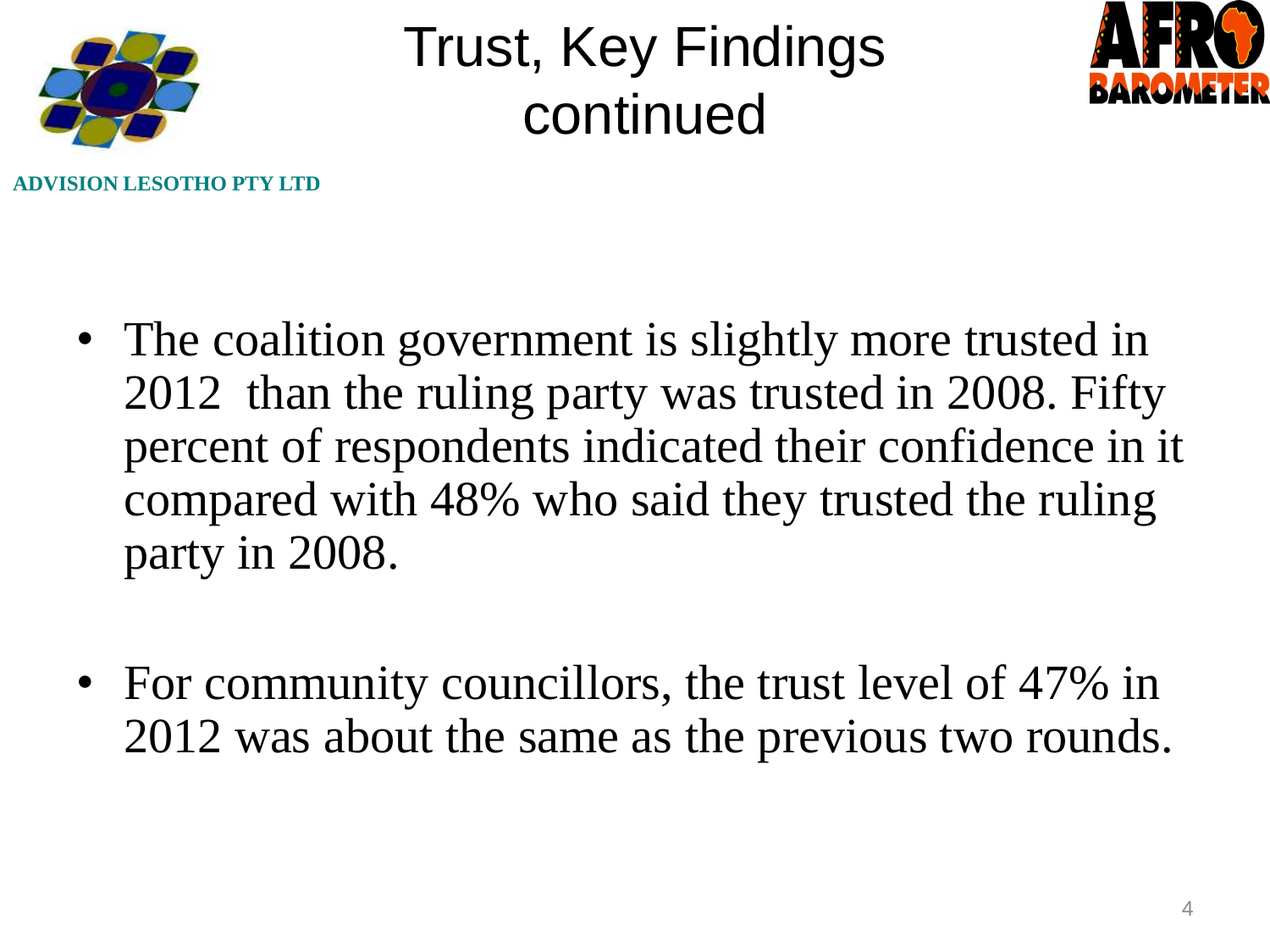

### Trust, Key Findings continued



**LESOTHO PTY LTD** 

- The coalition government is slightly more trusted in 2012 than the ruling party was trusted in 2008. Fifty percent of respondents indicated their confidence in it compared with 48% who said they trusted the ruling party in 2008.
- For community councillors, the trust level of 47% in 2012 was about the same as the previous two rounds.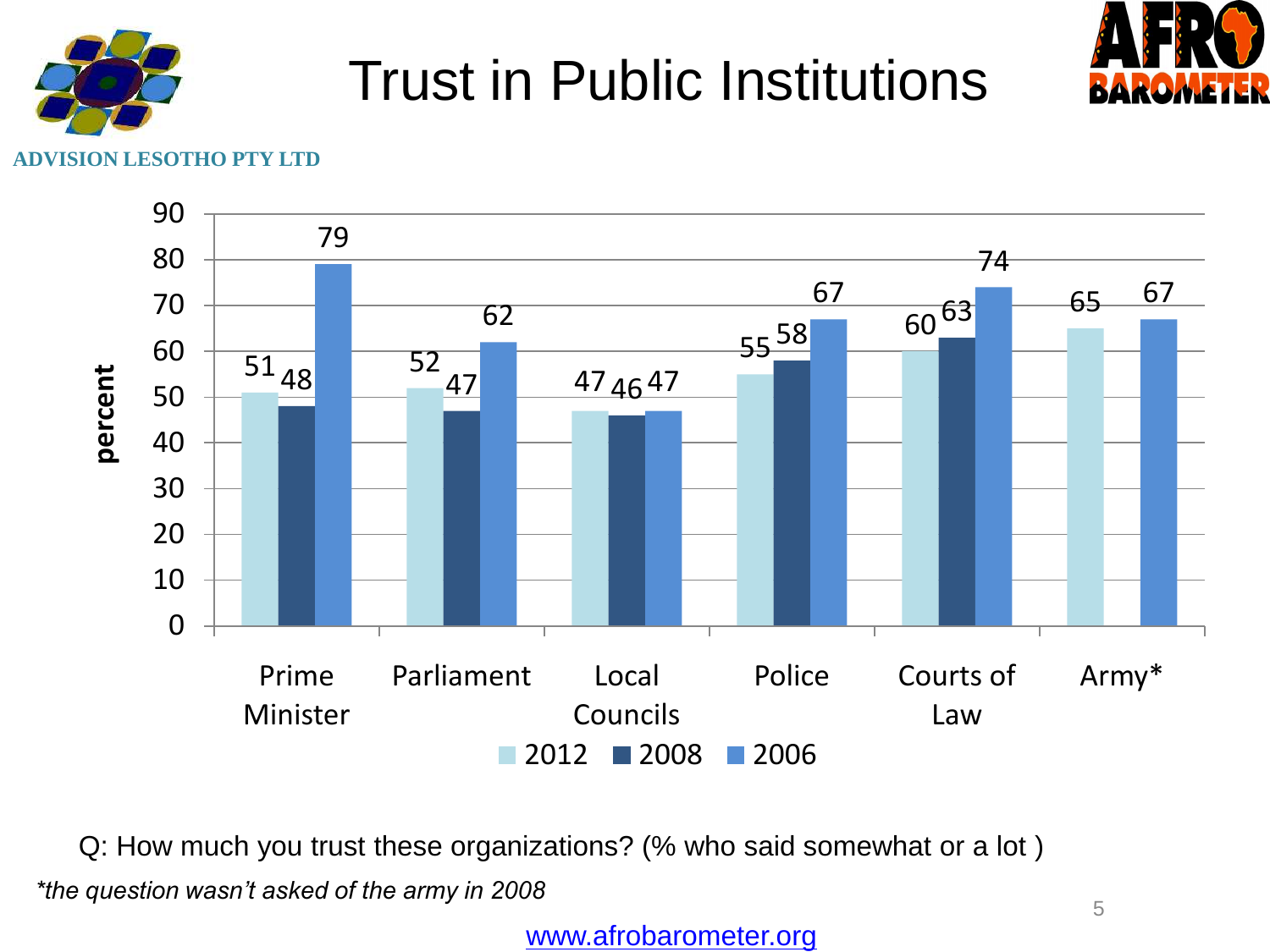

#### Trust in Public Institutions



#### **ADVISION LESOTHO PTY LTD**



Q: How much you trust these organizations? (% who said somewhat or a lot ) *\*the question wasn't asked of the army in 2008*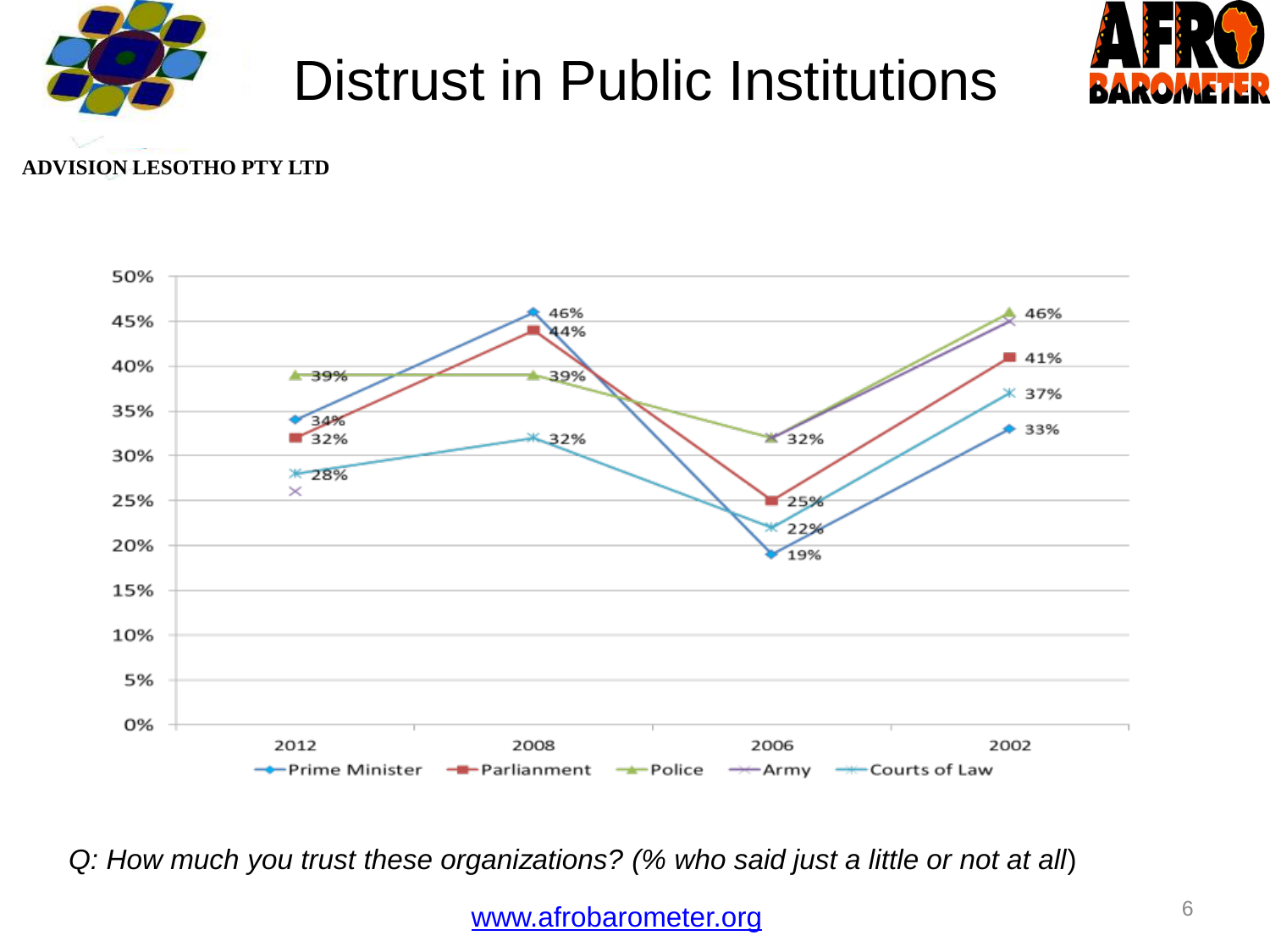

### Distrust in Public Institutions



#### **ADVISION LESOTHO PTY LTD**



*Q: How much you trust these organizations? (% who said just a little or not at all*)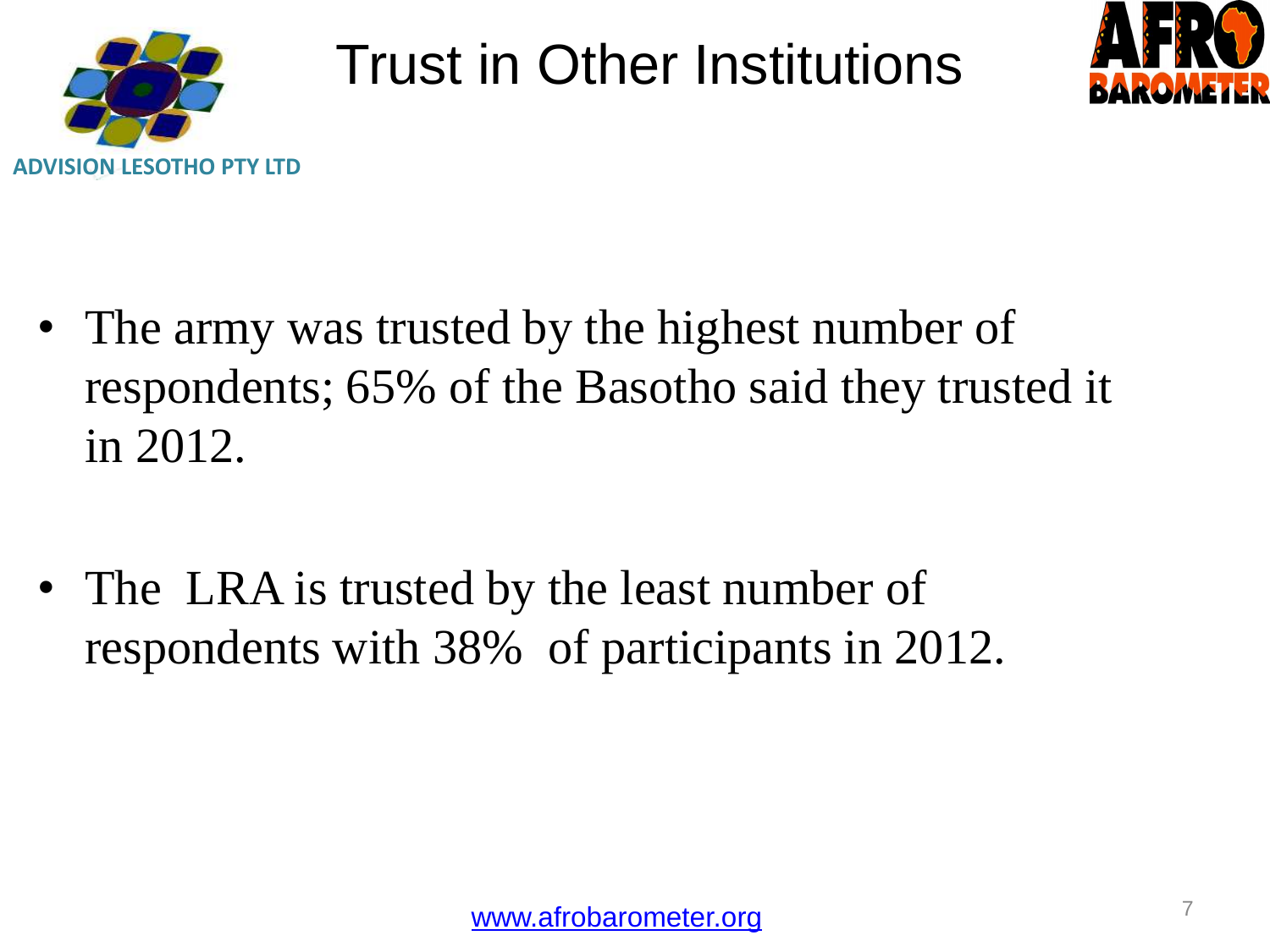

#### Trust in Other Institutions



- The army was trusted by the highest number of respondents; 65% of the Basotho said they trusted it in 2012.
- The LRA is trusted by the least number of respondents with 38% of participants in 2012.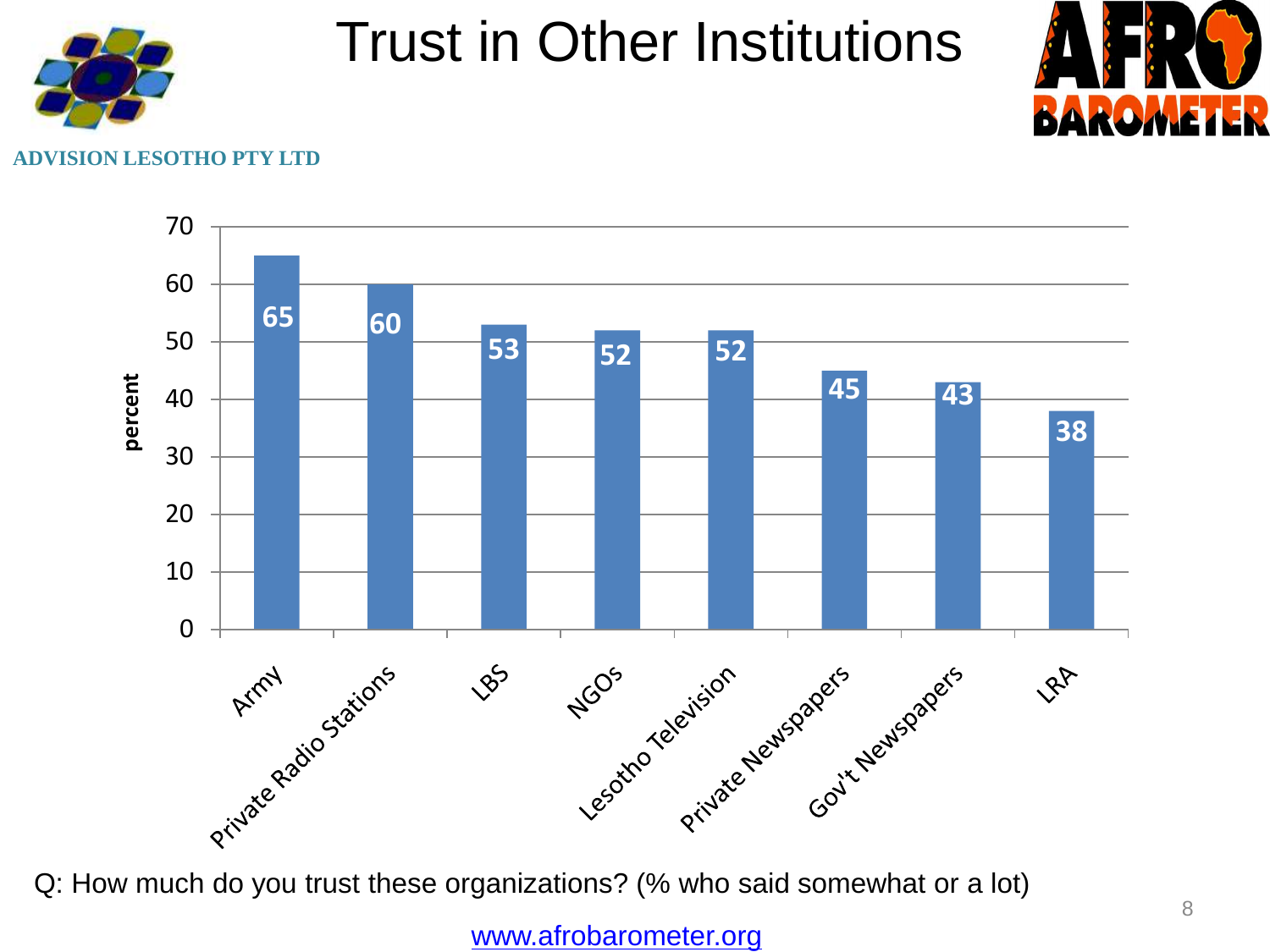

#### Trust in Other Institutions



#### **LESOTHO PTY LTD**



Q: How much do you trust these organizations? (% who said somewhat or a lot)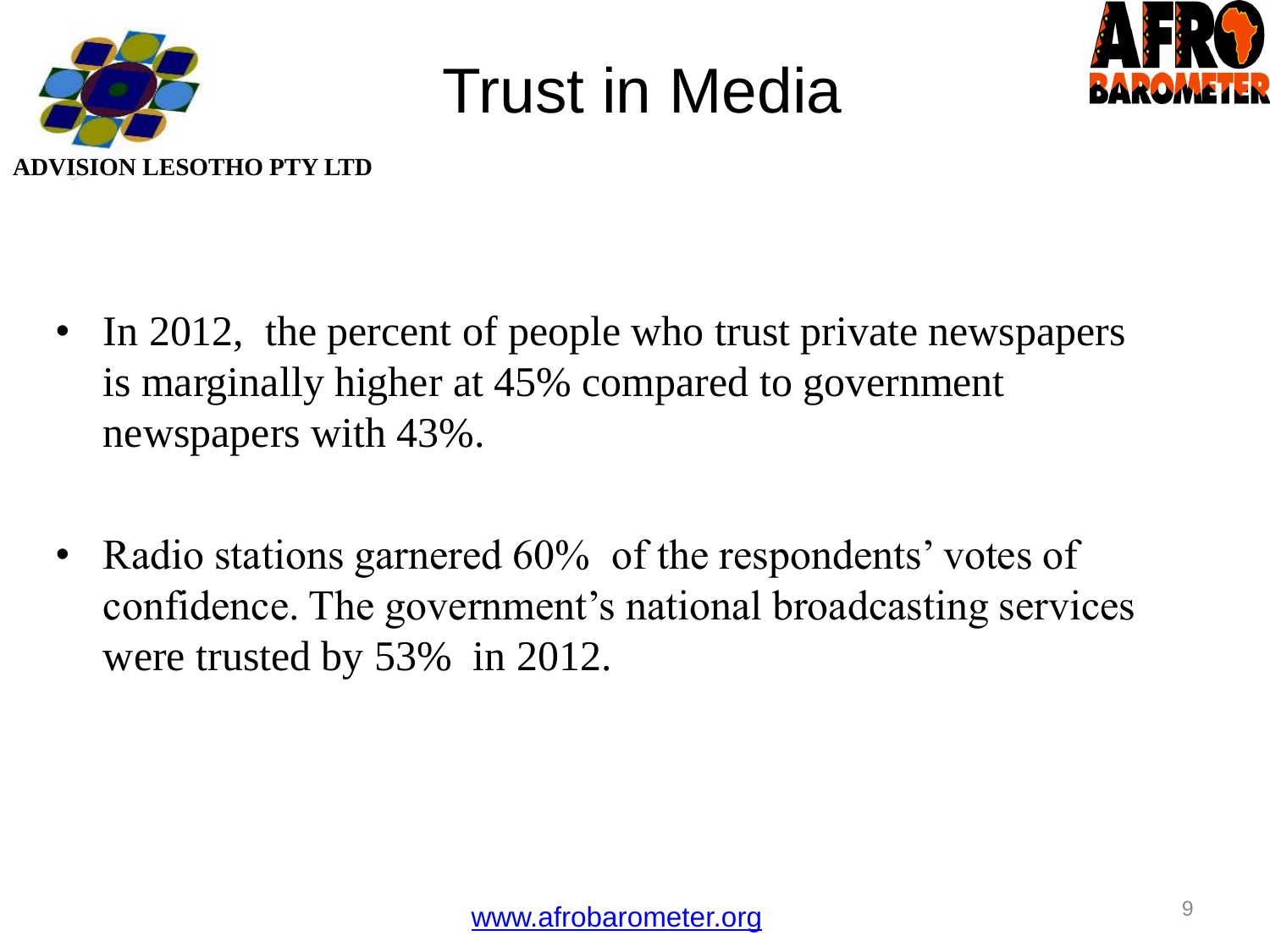

## Trust in Media



- In 2012, the percent of people who trust private newspapers is marginally higher at 45% compared to government newspapers with 43%.
- Radio stations garnered 60% of the respondents' votes of confidence. The government's national broadcasting services were trusted by 53% in 2012.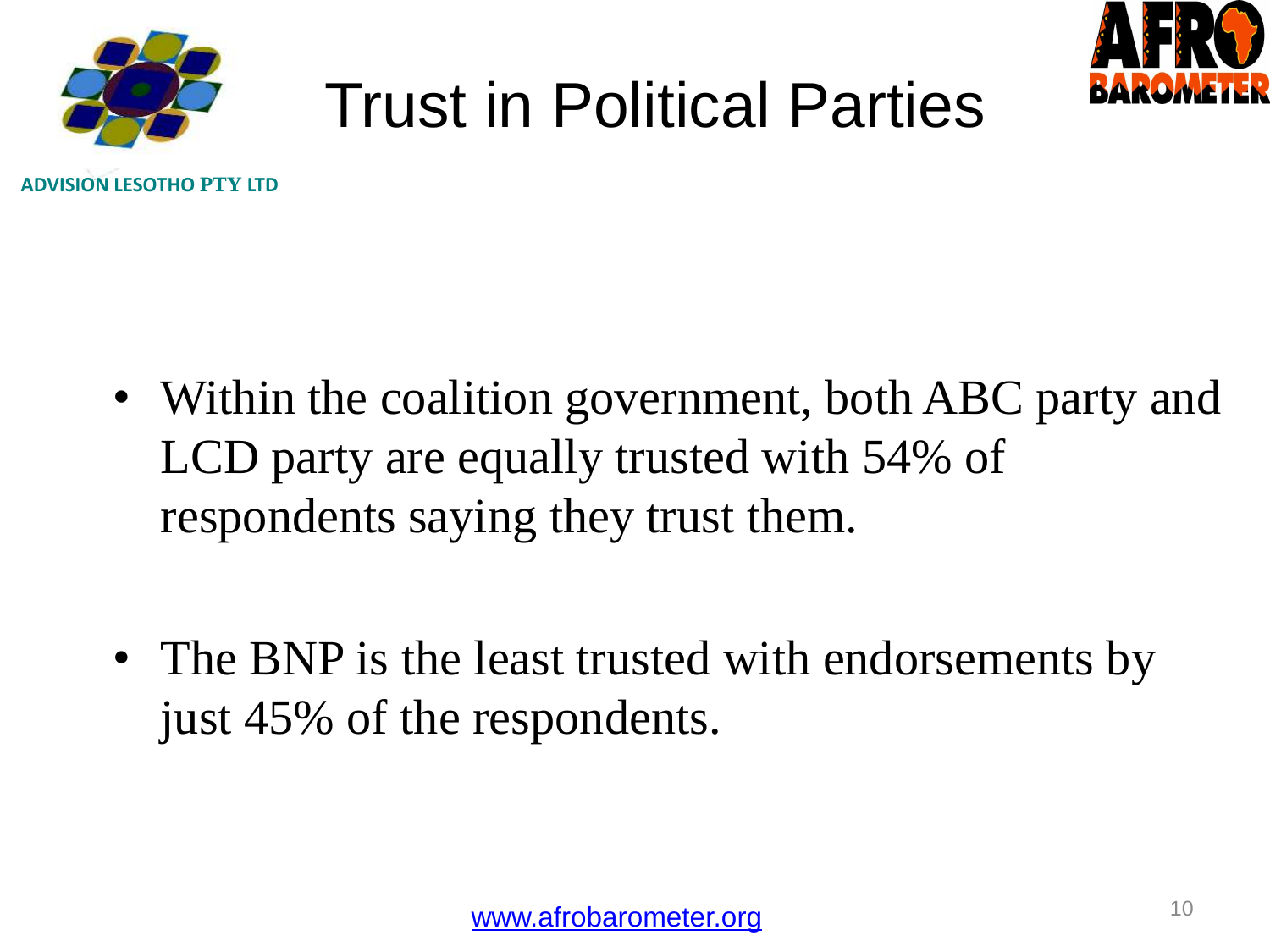



# Trust in Political Parties

**ADVISION LESOTHO PTY LTD**

- Within the coalition government, both ABC party and LCD party are equally trusted with 54% of respondents saying they trust them.
- The BNP is the least trusted with endorsements by just 45% of the respondents.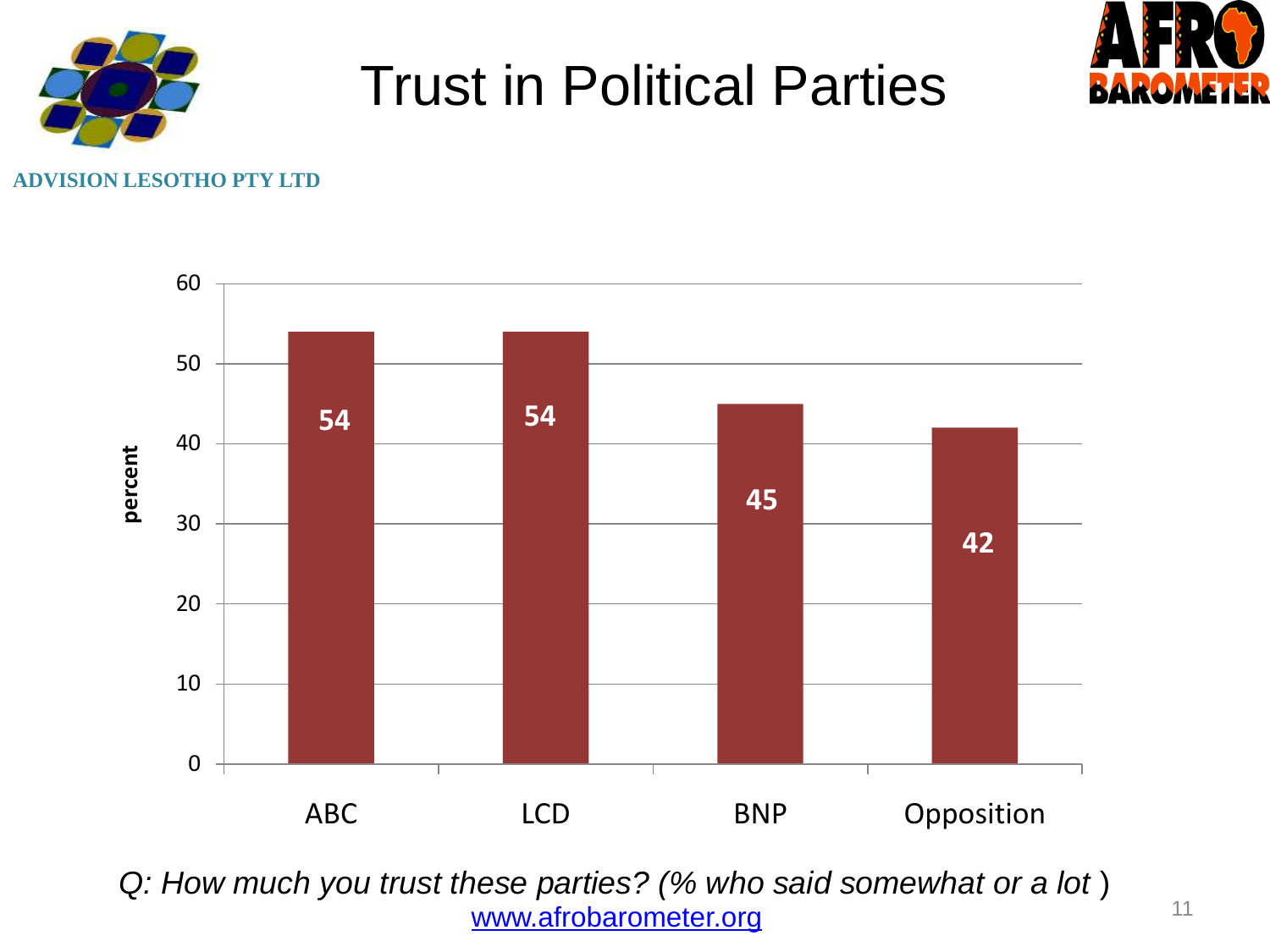

#### Trust in Political Parties



#### **ESOTHO PTY LTD**



*Q: How much you trust these parties? (% who said somewhat or a lot* ) [www.afrobarometer.org](http://www.afrobarometer.org/)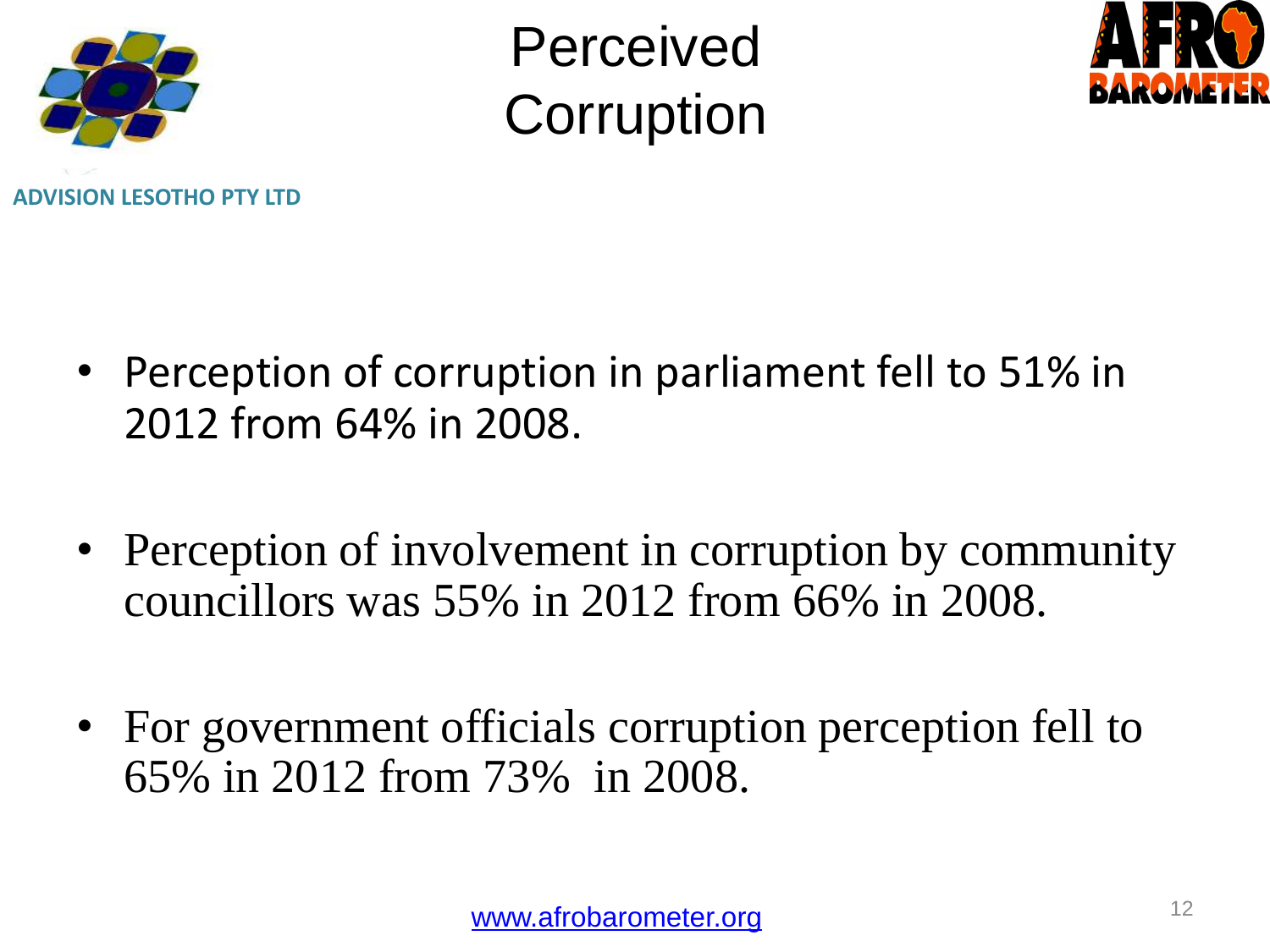

Perceived **Corruption** 



- Perception of corruption in parliament fell to 51% in 2012 from 64% in 2008.
- Perception of involvement in corruption by community councillors was 55% in 2012 from 66% in 2008.
- For government officials corruption perception fell to 65% in 2012 from 73% in 2008.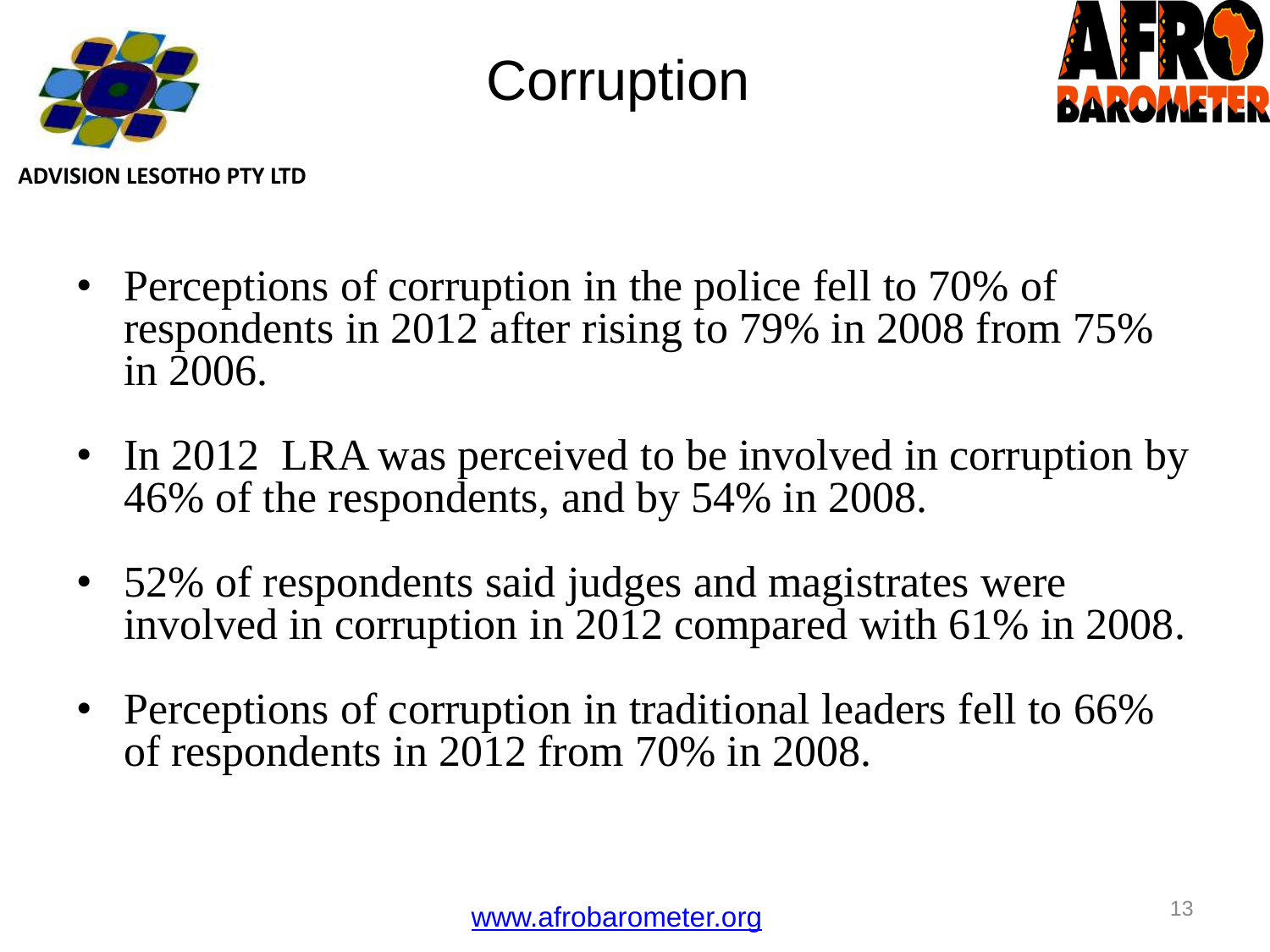

## **Corruption**



**ADVISION LESOTHO PTY LTD**

- Perceptions of corruption in the police fell to 70% of respondents in 2012 after rising to 79% in 2008 from 75% in 2006.
- In 2012 LRA was perceived to be involved in corruption by 46% of the respondents, and by 54% in 2008.
- 52% of respondents said judges and magistrates were involved in corruption in 2012 compared with 61% in 2008.
- Perceptions of corruption in traditional leaders fell to 66% of respondents in 2012 from 70% in 2008.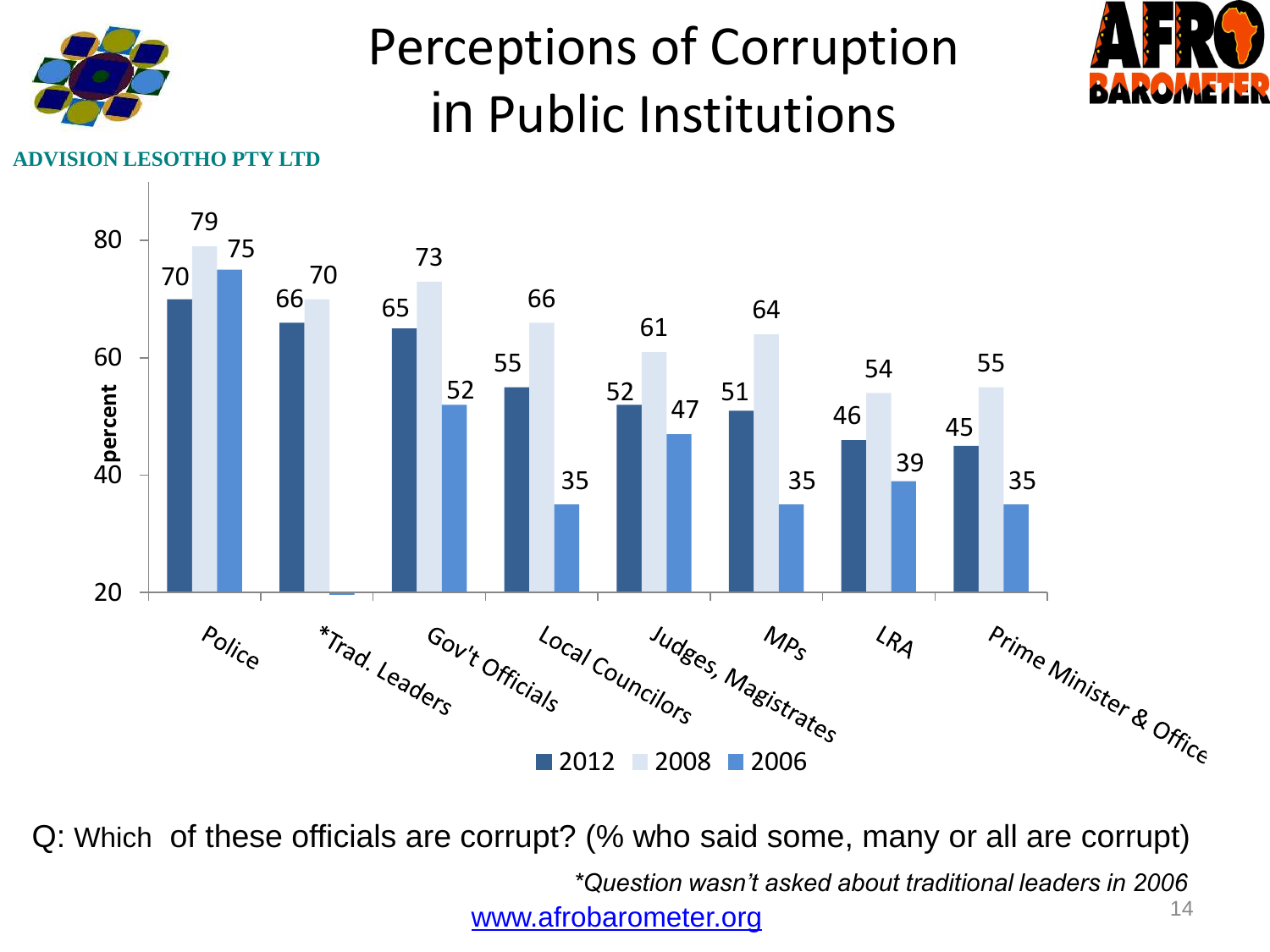

### Perceptions of Corruption in Public Institutions



**Y** LTD



 Q: Which of these officials are corrupt? (% who said some, many or all are corrupt) *\*Question wasn't asked about traditional leaders in 2006* [www.afrobarometer.org](http://www.afrobarometer.org/)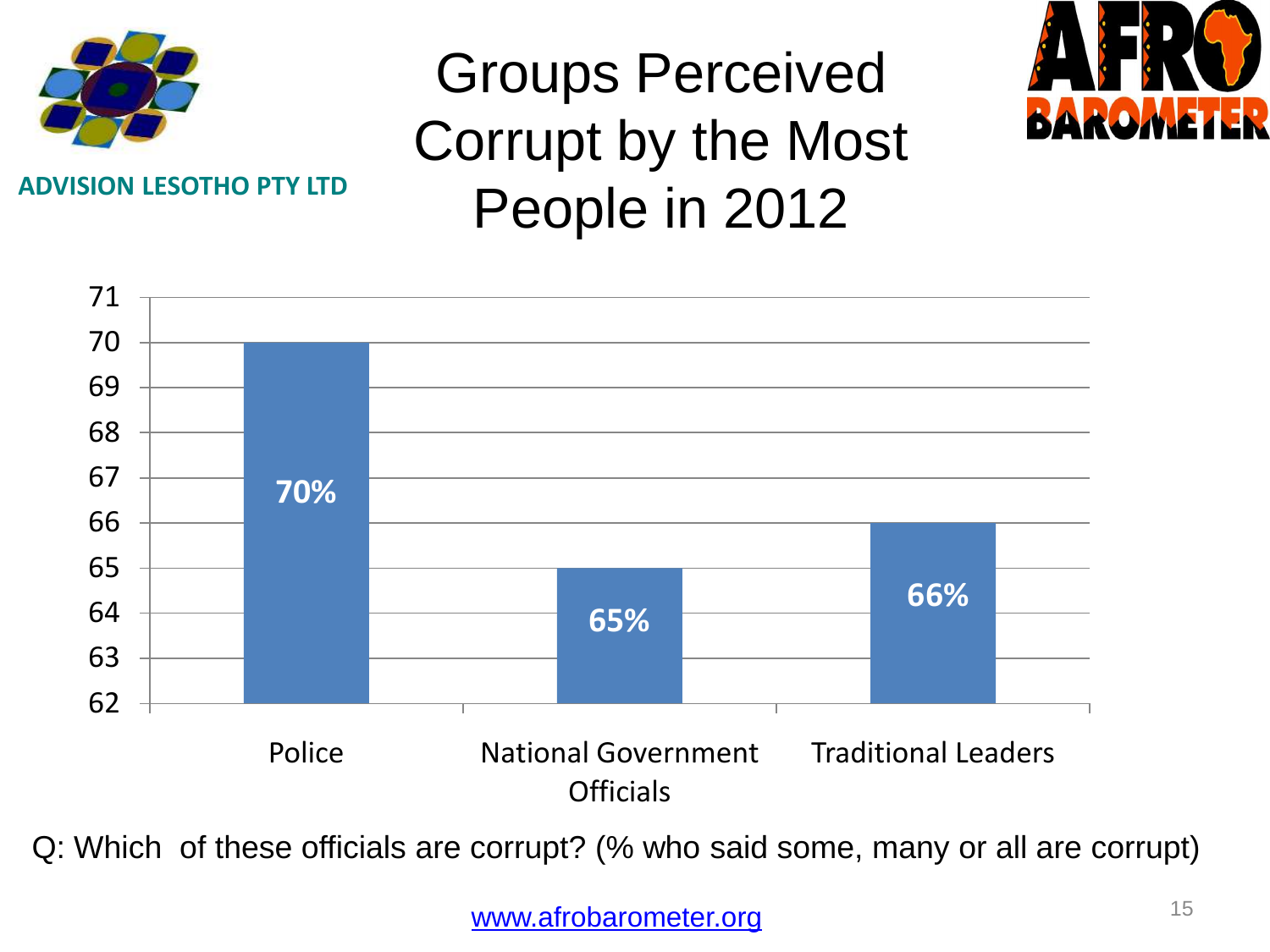

**ADVISION LESOTHO PTY LTD**

### Groups Perceived Corrupt by the Most People in 2012





Q: Which of these officials are corrupt? (% who said some, many or all are corrupt)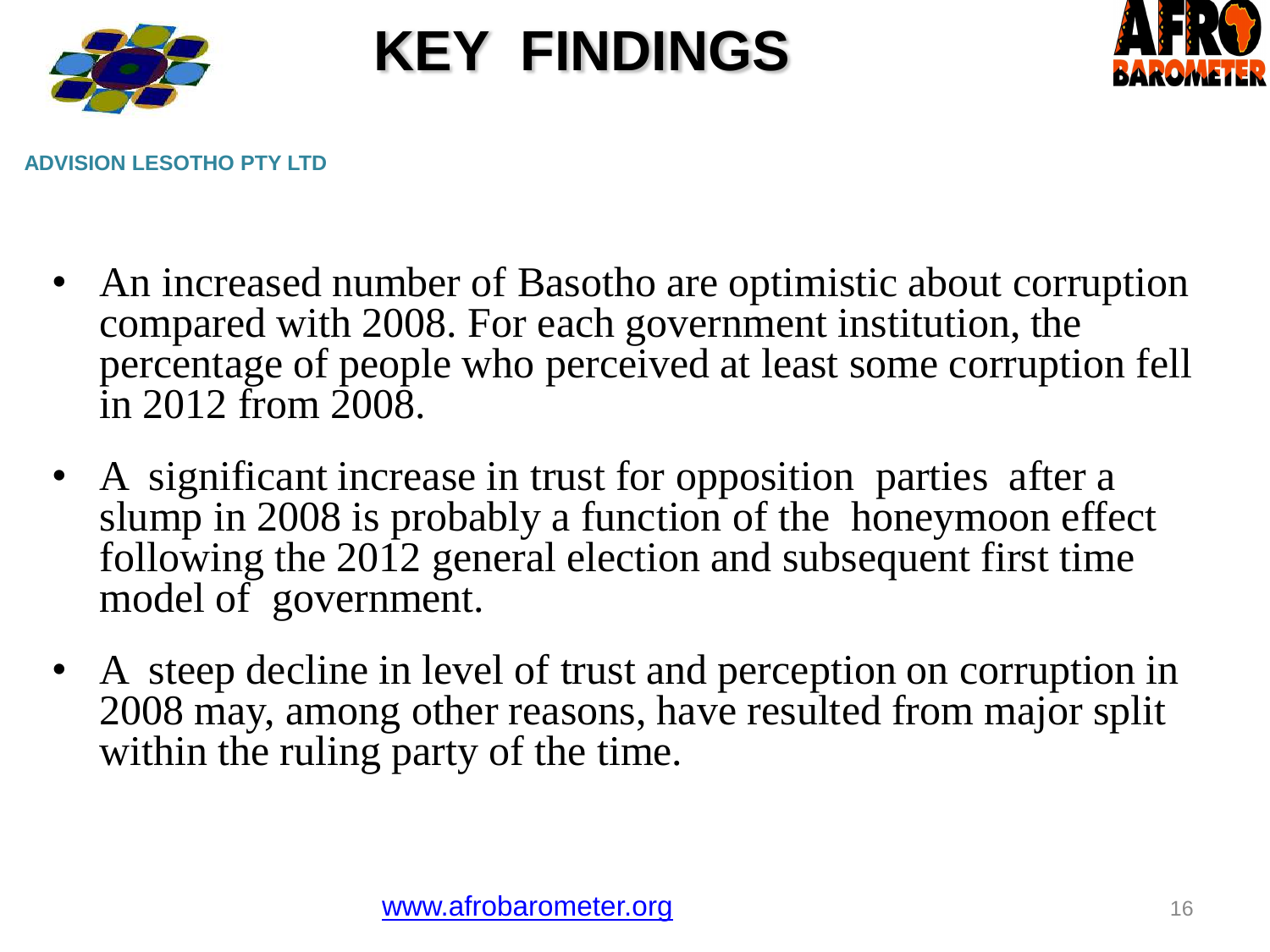

## **KEY FINDINGS**



**ADVISION LESOTHO PTY LTD**

- An increased number of Basotho are optimistic about corruption compared with 2008. For each government institution, the percentage of people who perceived at least some corruption fell in 2012 from 2008.
- A significant increase in trust for opposition parties after a slump in 2008 is probably a function of the honeymoon effect following the 2012 general election and subsequent first time model of government.
- A steep decline in level of trust and perception on corruption in 2008 may, among other reasons, have resulted from major split within the ruling party of the time.